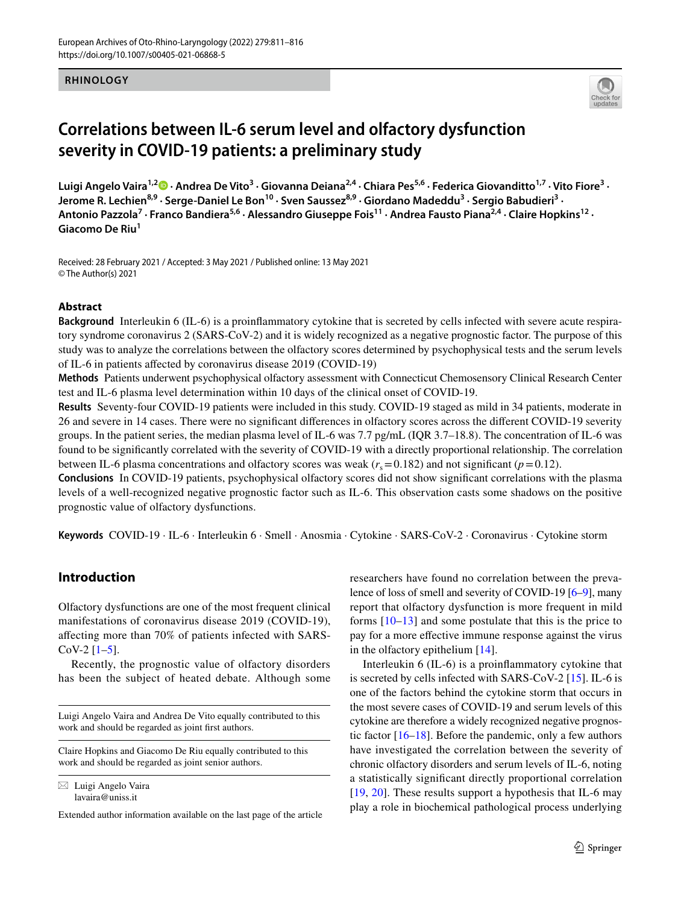#### **RHINOLOGY**



# **Correlations between IL‑6 serum level and olfactory dysfunction severity in COVID‑19 patients: a preliminary study**

LuigiAngelo Vaira<sup>1,2</sup> • Andrea De Vito<sup>3</sup> · Giovanna Deiana<sup>2,4</sup> · Chiara Pes<sup>5,6</sup> · Federica Giovanditto<sup>1,7</sup> · Vito Fiore<sup>3</sup> · Jerome R. Lechien<sup>8,9</sup> · Serge-Daniel Le Bon<sup>10</sup> · Sven Saussez<sup>8,9</sup> · Giordano Madeddu<sup>3</sup> · Sergio Babudieri<sup>3</sup> · Antonio Pazzola<sup>7</sup> · Franco Bandiera<sup>5,6</sup> · Alessandro Giuseppe Fois<sup>11</sup> · Andrea Fausto Piana<sup>2,4</sup> · Claire Hopkins<sup>12</sup> · Giacomo De Riu<sup>1</sup>

Received: 28 February 2021 / Accepted: 3 May 2021 / Published online: 13 May 2021 © The Author(s) 2021

## **Abstract**

**Background** Interleukin 6 (IL-6) is a proinfammatory cytokine that is secreted by cells infected with severe acute respiratory syndrome coronavirus 2 (SARS-CoV-2) and it is widely recognized as a negative prognostic factor. The purpose of this study was to analyze the correlations between the olfactory scores determined by psychophysical tests and the serum levels of IL-6 in patients afected by coronavirus disease 2019 (COVID-19)

**Methods** Patients underwent psychophysical olfactory assessment with Connecticut Chemosensory Clinical Research Center test and IL-6 plasma level determination within 10 days of the clinical onset of COVID-19.

**Results** Seventy-four COVID-19 patients were included in this study. COVID-19 staged as mild in 34 patients, moderate in 26 and severe in 14 cases. There were no signifcant diferences in olfactory scores across the diferent COVID-19 severity groups. In the patient series, the median plasma level of IL-6 was 7.7 pg/mL (IQR 3.7–18.8). The concentration of IL-6 was found to be signifcantly correlated with the severity of COVID-19 with a directly proportional relationship. The correlation between IL-6 plasma concentrations and olfactory scores was weak ( $r_s$  = 0.182) and not significant ( $p$  = 0.12).

**Conclusions** In COVID-19 patients, psychophysical olfactory scores did not show signifcant correlations with the plasma levels of a well-recognized negative prognostic factor such as IL-6. This observation casts some shadows on the positive prognostic value of olfactory dysfunctions.

**Keywords** COVID-19 · IL-6 · Interleukin 6 · Smell · Anosmia · Cytokine · SARS-CoV-2 · Coronavirus · Cytokine storm

## **Introduction**

Olfactory dysfunctions are one of the most frequent clinical manifestations of coronavirus disease 2019 (COVID-19), afecting more than 70% of patients infected with SARS- $CoV-2[1-5]$  $CoV-2[1-5]$ .

Recently, the prognostic value of olfactory disorders has been the subject of heated debate. Although some

Luigi Angelo Vaira and Andrea De Vito equally contributed to this work and should be regarded as joint frst authors.

Claire Hopkins and Giacomo De Riu equally contributed to this work and should be regarded as joint senior authors.

 $\boxtimes$  Luigi Angelo Vaira lavaira@uniss.it

Extended author information available on the last page of the article

researchers have found no correlation between the prevalence of loss of smell and severity of COVID-19 [\[6–](#page-4-2)[9\]](#page-4-3), many report that olfactory dysfunction is more frequent in mild forms [\[10–](#page-4-4)[13](#page-4-5)] and some postulate that this is the price to pay for a more efective immune response against the virus in the olfactory epithelium [\[14](#page-4-6)].

Interleukin 6 (IL-6) is a proinfammatory cytokine that is secreted by cells infected with SARS-CoV-2 [[15](#page-4-7)]. IL-6 is one of the factors behind the cytokine storm that occurs in the most severe cases of COVID-19 and serum levels of this cytokine are therefore a widely recognized negative prognostic factor [[16–](#page-4-8)[18](#page-4-9)]. Before the pandemic, only a few authors have investigated the correlation between the severity of chronic olfactory disorders and serum levels of IL-6, noting a statistically signifcant directly proportional correlation [[19,](#page-4-10) [20](#page-4-11)]. These results support a hypothesis that IL-6 may play a role in biochemical pathological process underlying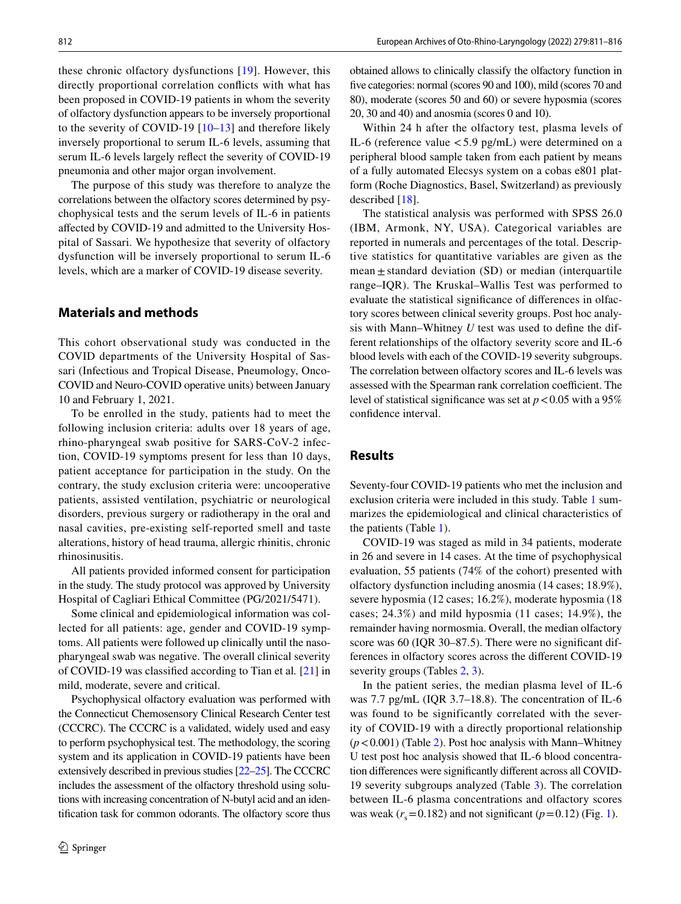these chronic olfactory dysfunctions [\[19\]](#page-4-10). However, this directly proportional correlation conficts with what has been proposed in COVID-19 patients in whom the severity of olfactory dysfunction appears to be inversely proportional to the severity of COVID-19 [\[10–](#page-4-4)[13](#page-4-5)] and therefore likely inversely proportional to serum IL-6 levels, assuming that serum IL-6 levels largely refect the severity of COVID-19 pneumonia and other major organ involvement.

The purpose of this study was therefore to analyze the correlations between the olfactory scores determined by psychophysical tests and the serum levels of IL-6 in patients afected by COVID-19 and admitted to the University Hospital of Sassari. We hypothesize that severity of olfactory dysfunction will be inversely proportional to serum IL-6 levels, which are a marker of COVID-19 disease severity.

#### **Materials and methods**

This cohort observational study was conducted in the COVID departments of the University Hospital of Sassari (Infectious and Tropical Disease, Pneumology, Onco-COVID and Neuro-COVID operative units) between January 10 and February 1, 2021.

To be enrolled in the study, patients had to meet the following inclusion criteria: adults over 18 years of age, rhino-pharyngeal swab positive for SARS-CoV-2 infection, COVID-19 symptoms present for less than 10 days, patient acceptance for participation in the study. On the contrary, the study exclusion criteria were: uncooperative patients, assisted ventilation, psychiatric or neurological disorders, previous surgery or radiotherapy in the oral and nasal cavities, pre-existing self-reported smell and taste alterations, history of head trauma, allergic rhinitis, chronic rhinosinusitis.

All patients provided informed consent for participation in the study. The study protocol was approved by University Hospital of Cagliari Ethical Committee (PG/2021/5471).

Some clinical and epidemiological information was collected for all patients: age, gender and COVID-19 symptoms. All patients were followed up clinically until the nasopharyngeal swab was negative. The overall clinical severity of COVID-19 was classifed according to Tian et al*.* [\[21\]](#page-4-12) in mild, moderate, severe and critical.

Psychophysical olfactory evaluation was performed with the Connecticut Chemosensory Clinical Research Center test (CCCRC). The CCCRC is a validated, widely used and easy to perform psychophysical test. The methodology, the scoring system and its application in COVID-19 patients have been extensively described in previous studies [\[22](#page-4-13)[–25\]](#page-5-0). The CCCRC includes the assessment of the olfactory threshold using solutions with increasing concentration of N-butyl acid and an identifcation task for common odorants. The olfactory score thus obtained allows to clinically classify the olfactory function in fve categories: normal (scores 90 and 100), mild (scores 70 and 80), moderate (scores 50 and 60) or severe hyposmia (scores 20, 30 and 40) and anosmia (scores 0 and 10).

Within 24 h after the olfactory test, plasma levels of IL-6 (reference value <5.9 pg/mL) were determined on a peripheral blood sample taken from each patient by means of a fully automated Elecsys system on a cobas e801 platform (Roche Diagnostics, Basel, Switzerland) as previously described [[18](#page-4-9)].

The statistical analysis was performed with SPSS 26.0 (IBM, Armonk, NY, USA). Categorical variables are reported in numerals and percentages of the total. Descriptive statistics for quantitative variables are given as the mean $\pm$ standard deviation (SD) or median (interquartile range–IQR). The Kruskal–Wallis Test was performed to evaluate the statistical signifcance of diferences in olfactory scores between clinical severity groups. Post hoc analysis with Mann–Whitney *U* test was used to defne the different relationships of the olfactory severity score and IL-6 blood levels with each of the COVID-19 severity subgroups. The correlation between olfactory scores and IL-6 levels was assessed with the Spearman rank correlation coefficient. The level of statistical significance was set at  $p < 0.05$  with a 95% confdence interval.

# **Results**

Seventy-four COVID-19 patients who met the inclusion and exclusion criteria were included in this study. Table [1](#page-2-0) summarizes the epidemiological and clinical characteristics of the patients (Table [1](#page-2-0)).

COVID-19 was staged as mild in 34 patients, moderate in 26 and severe in 14 cases. At the time of psychophysical evaluation, 55 patients (74% of the cohort) presented with olfactory dysfunction including anosmia (14 cases; 18.9%), severe hyposmia (12 cases; 16.2%), moderate hyposmia (18 cases; 24.3%) and mild hyposmia (11 cases; 14.9%), the remainder having normosmia. Overall, the median olfactory score was 60 (IQR 30–87.5). There were no significant differences in olfactory scores across the diferent COVID-19 severity groups (Tables [2,](#page-2-1) [3\)](#page-2-2).

In the patient series, the median plasma level of IL-6 was 7.7 pg/mL (IQR 3.7–18.8). The concentration of IL-6 was found to be significantly correlated with the severity of COVID-19 with a directly proportional relationship (*p*<0.001) (Table [2](#page-2-1)). Post hoc analysis with Mann–Whitney U test post hoc analysis showed that IL-6 blood concentration diferences were signifcantly diferent across all COVID-19 severity subgroups analyzed (Table [3](#page-2-2)). The correlation between IL-6 plasma concentrations and olfactory scores was weak  $(r<sub>s</sub>=0.182)$  and not significant  $(p=0.12)$  (Fig. [1](#page-3-0)).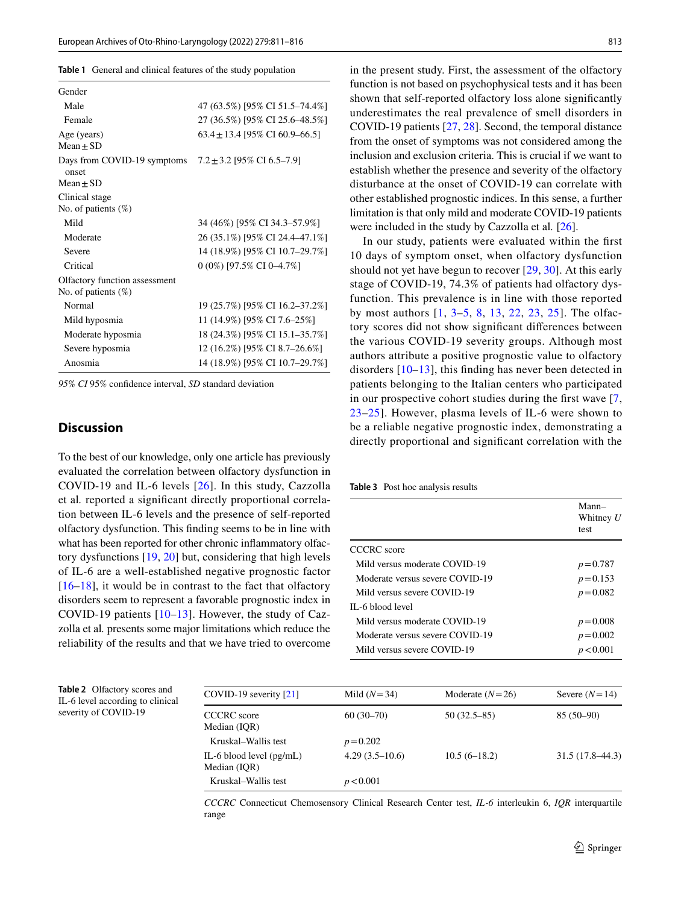<span id="page-2-0"></span>

| <b>Table 1</b> General and clinical features of the study population |
|----------------------------------------------------------------------|
|----------------------------------------------------------------------|

| Gender                                                              |                                    |
|---------------------------------------------------------------------|------------------------------------|
| Male                                                                | 47 (63.5%) [95% CI 51.5–74.4%]     |
| Female                                                              | 27 (36.5%) [95% CI 25.6–48.5%]     |
| Age (years)                                                         | $63.4 \pm 13.4$ [95% CI 60.9–66.5] |
| $Mean + SD$                                                         |                                    |
| Days from COVID-19 symptoms $7.2 \pm 3.2$ [95% CI 6.5–7.9]<br>onset |                                    |
| $Mean + SD$                                                         |                                    |
| Clinical stage                                                      |                                    |
| No. of patients $(\%)$                                              |                                    |
| Mild                                                                | 34 (46%) [95% CI 34.3–57.9%]       |
| Moderate                                                            | 26 (35.1%) [95% CI 24.4–47.1%]     |
| Severe                                                              | 14 (18.9%) [95% CI 10.7–29.7%]     |
| Critical                                                            | 0 (0%) [97.5% CI 0-4.7%]           |
| Olfactory function assessment<br>No. of patients $(\%)$             |                                    |
| Normal                                                              |                                    |
|                                                                     | 19 (25.7%) [95% CI 16.2–37.2%]     |
| Mild hyposmia                                                       | 11 (14.9%) [95% CI 7.6–25%]        |
| Moderate hyposmia                                                   | 18 (24.3%) [95% CI 15.1–35.7%]     |
| Severe hyposmia                                                     | 12 (16.2%) [95% CI 8.7–26.6%]      |
| Anosmia                                                             | 14 (18.9%) [95% CI 10.7–29.7%]     |

*95% CI* 95% confdence interval, *SD* standard deviation

#### **Discussion**

To the best of our knowledge, only one article has previously evaluated the correlation between olfactory dysfunction in COVID-19 and IL-6 levels [[26](#page-5-1)]. In this study, Cazzolla et al*.* reported a signifcant directly proportional correlation between IL-6 levels and the presence of self-reported olfactory dysfunction. This fnding seems to be in line with what has been reported for other chronic infammatory olfactory dysfunctions [[19,](#page-4-10) [20](#page-4-11)] but, considering that high levels of IL-6 are a well-established negative prognostic factor [[16–](#page-4-8)[18](#page-4-9)], it would be in contrast to the fact that olfactory disorders seem to represent a favorable prognostic index in COVID-19 patients [[10](#page-4-4)–[13\]](#page-4-5). However, the study of Cazzolla et al*.* presents some major limitations which reduce the reliability of the results and that we have tried to overcome

in the present study. First, the assessment of the olfactory function is not based on psychophysical tests and it has been shown that self-reported olfactory loss alone signifcantly underestimates the real prevalence of smell disorders in COVID-19 patients [[27,](#page-5-2) [28\]](#page-5-3). Second, the temporal distance from the onset of symptoms was not considered among the inclusion and exclusion criteria. This is crucial if we want to establish whether the presence and severity of the olfactory disturbance at the onset of COVID-19 can correlate with other established prognostic indices. In this sense, a further limitation is that only mild and moderate COVID-19 patients were included in the study by Cazzolla et al*.* [\[26](#page-5-1)].

In our study, patients were evaluated within the frst 10 days of symptom onset, when olfactory dysfunction should not yet have begun to recover [[29,](#page-5-4) [30\]](#page-5-5). At this early stage of COVID-19, 74.3% of patients had olfactory dysfunction. This prevalence is in line with those reported by most authors [[1](#page-4-0), [3–](#page-4-14)[5,](#page-4-1) [8](#page-4-15), [13](#page-4-5), [22,](#page-4-13) [23,](#page-5-6) [25\]](#page-5-0). The olfactory scores did not show signifcant diferences between the various COVID-19 severity groups. Although most authors attribute a positive prognostic value to olfactory disorders [[10](#page-4-4)[–13\]](#page-4-5), this fnding has never been detected in patients belonging to the Italian centers who participated in our prospective cohort studies during the frst wave [[7,](#page-4-16) [23–](#page-5-6)[25\]](#page-5-0). However, plasma levels of IL-6 were shown to be a reliable negative prognostic index, demonstrating a directly proportional and signifcant correlation with the

<span id="page-2-2"></span>**Table 3** Post hoc analysis results

|                                 | Mann-<br>Whitney $U$<br>test |
|---------------------------------|------------------------------|
|                                 |                              |
| CCCRC score                     |                              |
| Mild versus moderate COVID-19   | $p = 0.787$                  |
| Moderate versus severe COVID-19 | $p = 0.153$                  |
| Mild versus severe COVID-19     | $p = 0.082$                  |
| IL-6 blood level                |                              |
| Mild versus moderate COVID-19   | $p = 0.008$                  |
| Moderate versus severe COVID-19 | $p = 0.002$                  |
| Mild versus severe COVID-19     | p < 0.001                    |

<span id="page-2-1"></span>

| Table 2 Olfactory scores and     |
|----------------------------------|
| IL-6 level according to clinical |
| severity of COVID-19             |

| COVID-19 severity $[21]$                   | Mild $(N=34)$    | Moderate $(N=26)$ | Severe $(N=14)$     |
|--------------------------------------------|------------------|-------------------|---------------------|
| <b>CCCRC</b> score<br>Median (IOR)         | $60(30-70)$      | $50(32.5 - 85)$   | $85(50-90)$         |
| Kruskal–Wallis test                        | $p = 0.202$      |                   |                     |
| IL-6 blood level $(pg/mL)$<br>Median (IOR) | $4.29(3.5-10.6)$ | $10.5(6-18.2)$    | $31.5(17.8 - 44.3)$ |
| Kruskal–Wallis test                        | p < 0.001        |                   |                     |

*CCCRC* Connecticut Chemosensory Clinical Research Center test, *IL-6* interleukin 6, *IQR* interquartile range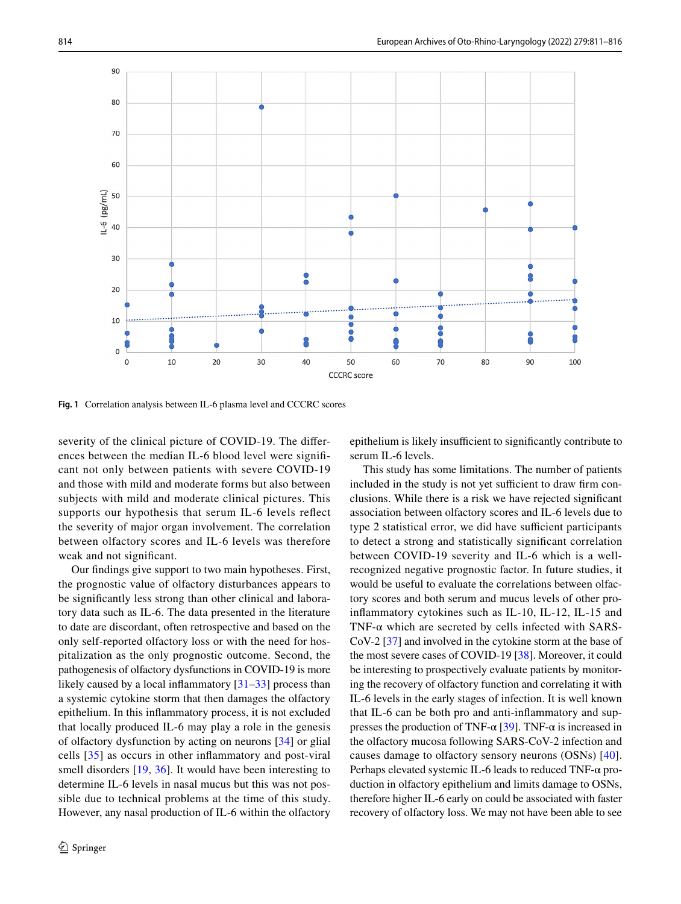

<span id="page-3-0"></span>**Fig. 1** Correlation analysis between IL-6 plasma level and CCCRC scores

severity of the clinical picture of COVID-19. The diferences between the median IL-6 blood level were signifcant not only between patients with severe COVID-19 and those with mild and moderate forms but also between subjects with mild and moderate clinical pictures. This supports our hypothesis that serum IL-6 levels refect the severity of major organ involvement. The correlation between olfactory scores and IL-6 levels was therefore weak and not signifcant.

Our fndings give support to two main hypotheses. First, the prognostic value of olfactory disturbances appears to be signifcantly less strong than other clinical and laboratory data such as IL-6. The data presented in the literature to date are discordant, often retrospective and based on the only self-reported olfactory loss or with the need for hospitalization as the only prognostic outcome. Second, the pathogenesis of olfactory dysfunctions in COVID-19 is more likely caused by a local inflammatory [[31](#page-5-7)[–33](#page-5-8)] process than a systemic cytokine storm that then damages the olfactory epithelium. In this infammatory process, it is not excluded that locally produced IL-6 may play a role in the genesis of olfactory dysfunction by acting on neurons [[34\]](#page-5-9) or glial cells [[35](#page-5-10)] as occurs in other infammatory and post-viral smell disorders [[19,](#page-4-10) [36\]](#page-5-11). It would have been interesting to determine IL-6 levels in nasal mucus but this was not possible due to technical problems at the time of this study. However, any nasal production of IL-6 within the olfactory

epithelium is likely insufficient to significantly contribute to serum IL-6 levels.

This study has some limitations. The number of patients included in the study is not yet sufficient to draw firm conclusions. While there is a risk we have rejected signifcant association between olfactory scores and IL-6 levels due to type 2 statistical error, we did have sufficient participants to detect a strong and statistically signifcant correlation between COVID-19 severity and IL-6 which is a wellrecognized negative prognostic factor. In future studies, it would be useful to evaluate the correlations between olfactory scores and both serum and mucus levels of other proinfammatory cytokines such as IL-10, IL-12, IL-15 and TNF- $\alpha$  which are secreted by cells infected with SARS-CoV-2 [\[37](#page-5-12)] and involved in the cytokine storm at the base of the most severe cases of COVID-19 [\[38](#page-5-13)]. Moreover, it could be interesting to prospectively evaluate patients by monitoring the recovery of olfactory function and correlating it with IL-6 levels in the early stages of infection. It is well known that IL-6 can be both pro and anti-infammatory and suppresses the production of TNF- $\alpha$  [\[39](#page-5-14)]. TNF- $\alpha$  is increased in the olfactory mucosa following SARS-CoV-2 infection and causes damage to olfactory sensory neurons (OSNs) [[40](#page-5-15)]. Perhaps elevated systemic IL-6 leads to reduced TNF-α production in olfactory epithelium and limits damage to OSNs, therefore higher IL-6 early on could be associated with faster recovery of olfactory loss. We may not have been able to see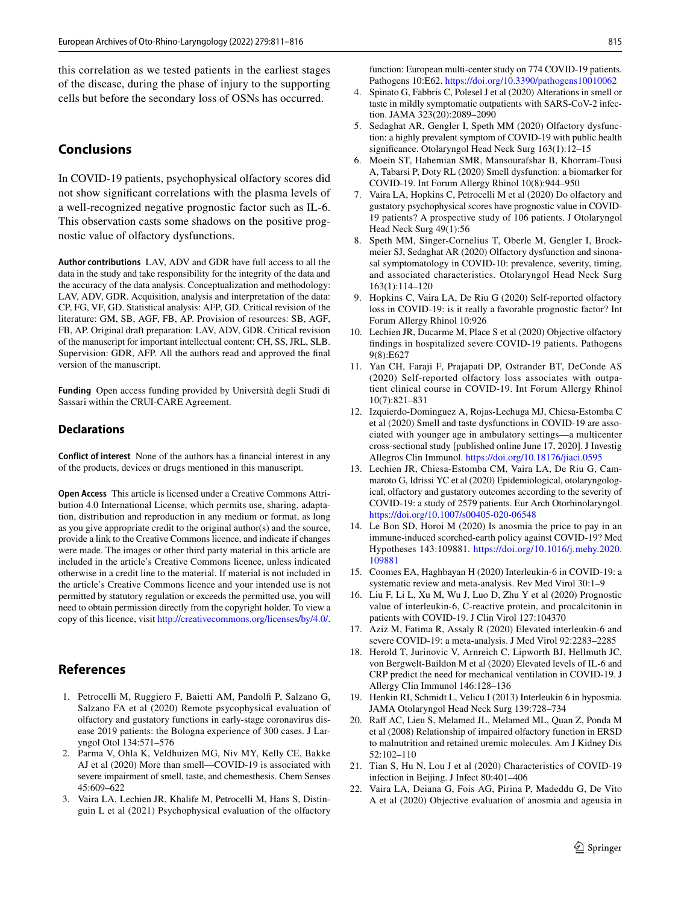this correlation as we tested patients in the earliest stages of the disease, during the phase of injury to the supporting cells but before the secondary loss of OSNs has occurred.

## **Conclusions**

In COVID-19 patients, psychophysical olfactory scores did not show signifcant correlations with the plasma levels of a well-recognized negative prognostic factor such as IL-6. This observation casts some shadows on the positive prognostic value of olfactory dysfunctions.

**Author contributions** LAV, ADV and GDR have full access to all the data in the study and take responsibility for the integrity of the data and the accuracy of the data analysis. Conceptualization and methodology: LAV, ADV, GDR. Acquisition, analysis and interpretation of the data: CP, FG, VF, GD. Statistical analysis: AFP, GD. Critical revision of the literature: GM, SB, AGF, FB, AP. Provision of resources: SB, AGF, FB, AP. Original draft preparation: LAV, ADV, GDR. Critical revision of the manuscript for important intellectual content: CH, SS, JRL, SLB. Supervision: GDR, AFP. All the authors read and approved the fnal version of the manuscript.

**Funding** Open access funding provided by Università degli Studi di Sassari within the CRUI-CARE Agreement.

#### **Declarations**

**Conflict of interest** None of the authors has a fnancial interest in any of the products, devices or drugs mentioned in this manuscript.

**Open Access** This article is licensed under a Creative Commons Attribution 4.0 International License, which permits use, sharing, adaptation, distribution and reproduction in any medium or format, as long as you give appropriate credit to the original author(s) and the source, provide a link to the Creative Commons licence, and indicate if changes were made. The images or other third party material in this article are included in the article's Creative Commons licence, unless indicated otherwise in a credit line to the material. If material is not included in the article's Creative Commons licence and your intended use is not permitted by statutory regulation or exceeds the permitted use, you will need to obtain permission directly from the copyright holder. To view a copy of this licence, visit <http://creativecommons.org/licenses/by/4.0/>.

### **References**

- <span id="page-4-0"></span>1. Petrocelli M, Ruggiero F, Baietti AM, Pandolf P, Salzano G, Salzano FA et al (2020) Remote psycophysical evaluation of olfactory and gustatory functions in early-stage coronavirus disease 2019 patients: the Bologna experience of 300 cases. J Laryngol Otol 134:571–576
- 2. Parma V, Ohla K, Veldhuizen MG, Niv MY, Kelly CE, Bakke AJ et al (2020) More than smell—COVID-19 is associated with severe impairment of smell, taste, and chemesthesis. Chem Senses 45:609–622
- <span id="page-4-14"></span>3. Vaira LA, Lechien JR, Khalife M, Petrocelli M, Hans S, Distinguin L et al (2021) Psychophysical evaluation of the olfactory

function: European multi-center study on 774 COVID-19 patients. Pathogens 10:E62.<https://doi.org/10.3390/pathogens10010062>

- 4. Spinato G, Fabbris C, Polesel J et al (2020) Alterations in smell or taste in mildly symptomatic outpatients with SARS-CoV-2 infection. JAMA 323(20):2089–2090
- <span id="page-4-1"></span>5. Sedaghat AR, Gengler I, Speth MM (2020) Olfactory dysfunction: a highly prevalent symptom of COVID-19 with public health signifcance. Otolaryngol Head Neck Surg 163(1):12–15
- <span id="page-4-2"></span>6. Moein ST, Hahemian SMR, Mansourafshar B, Khorram-Tousi A, Tabarsi P, Doty RL (2020) Smell dysfunction: a biomarker for COVID-19. Int Forum Allergy Rhinol 10(8):944–950
- <span id="page-4-16"></span>7. Vaira LA, Hopkins C, Petrocelli M et al (2020) Do olfactory and gustatory psychophysical scores have prognostic value in COVID-19 patients? A prospective study of 106 patients. J Otolaryngol Head Neck Surg 49(1):56
- <span id="page-4-15"></span>8. Speth MM, Singer-Cornelius T, Oberle M, Gengler I, Brockmeier SJ, Sedaghat AR (2020) Olfactory dysfunction and sinonasal symptomatology in COVID-10: prevalence, severity, timing, and associated characteristics. Otolaryngol Head Neck Surg 163(1):114–120
- <span id="page-4-3"></span>9. Hopkins C, Vaira LA, De Riu G (2020) Self-reported olfactory loss in COVID-19: is it really a favorable prognostic factor? Int Forum Allergy Rhinol 10:926
- <span id="page-4-4"></span>10. Lechien JR, Ducarme M, Place S et al (2020) Objective olfactory fndings in hospitalized severe COVID-19 patients. Pathogens 9(8):E627
- 11. Yan CH, Faraji F, Prajapati DP, Ostrander BT, DeConde AS (2020) Self-reported olfactory loss associates with outpatient clinical course in COVID-19. Int Forum Allergy Rhinol 10(7):821–831
- 12. Izquierdo-Dominguez A, Rojas-Lechuga MJ, Chiesa-Estomba C et al (2020) Smell and taste dysfunctions in COVID-19 are associated with younger age in ambulatory settings—a multicenter cross-sectional study [published online June 17, 2020]. J Investig Allegros Clin Immunol.<https://doi.org/10.18176/jiaci.0595>
- <span id="page-4-5"></span>13. Lechien JR, Chiesa-Estomba CM, Vaira LA, De Riu G, Cammaroto G, Idrissi YC et al (2020) Epidemiological, otolaryngological, olfactory and gustatory outcomes according to the severity of COVID-19: a study of 2579 patients. Eur Arch Otorhinolaryngol. <https://doi.org/10.1007/s00405-020-06548>
- <span id="page-4-6"></span>14. Le Bon SD, Horoi M (2020) Is anosmia the price to pay in an immune-induced scorched-earth policy against COVID-19? Med Hypotheses 143:109881. [https://doi.org/10.1016/j.mehy.2020.](https://doi.org/10.1016/j.mehy.2020.109881) [109881](https://doi.org/10.1016/j.mehy.2020.109881)
- <span id="page-4-7"></span>15. Coomes EA, Haghbayan H (2020) Interleukin-6 in COVID-19: a systematic review and meta-analysis. Rev Med Virol 30:1–9
- <span id="page-4-8"></span>16. Liu F, Li L, Xu M, Wu J, Luo D, Zhu Y et al (2020) Prognostic value of interleukin-6, C-reactive protein, and procalcitonin in patients with COVID-19. J Clin Virol 127:104370
- 17. Aziz M, Fatima R, Assaly R (2020) Elevated interleukin-6 and severe COVID-19: a meta-analysis. J Med Virol 92:2283–2285
- <span id="page-4-9"></span>18. Herold T, Jurinovic V, Arnreich C, Lipworth BJ, Hellmuth JC, von Bergwelt-Baildon M et al (2020) Elevated levels of IL-6 and CRP predict the need for mechanical ventilation in COVID-19. J Allergy Clin Immunol 146:128–136
- <span id="page-4-10"></span>19. Henkin RI, Schmidt L, Velicu I (2013) Interleukin 6 in hyposmia. JAMA Otolaryngol Head Neck Surg 139:728–734
- <span id="page-4-11"></span>20. Raf AC, Lieu S, Melamed JL, Melamed ML, Quan Z, Ponda M et al (2008) Relationship of impaired olfactory function in ERSD to malnutrition and retained uremic molecules. Am J Kidney Dis 52:102–110
- <span id="page-4-12"></span>21. Tian S, Hu N, Lou J et al (2020) Characteristics of COVID-19 infection in Beijing. J Infect 80:401–406
- <span id="page-4-13"></span>22. Vaira LA, Deiana G, Fois AG, Pirina P, Madeddu G, De Vito A et al (2020) Objective evaluation of anosmia and ageusia in